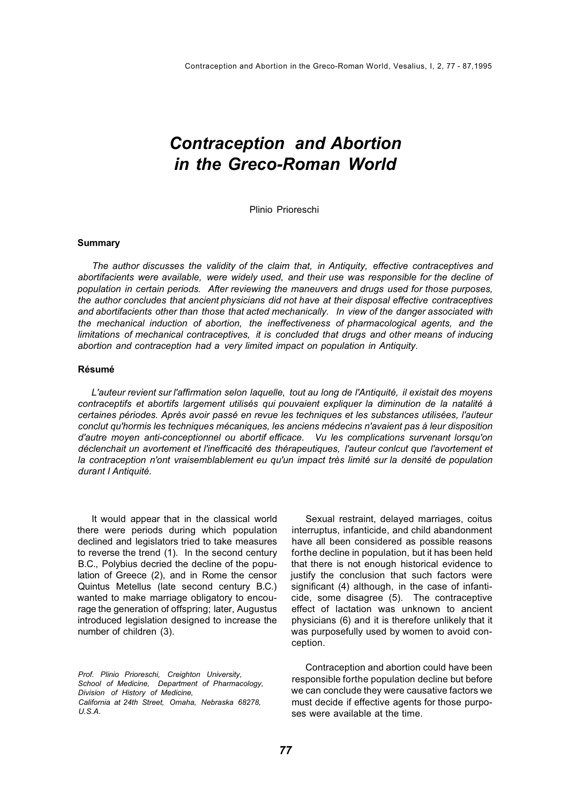# *Contraception and Abortion in the Greco-Roman World*

Plinio Prioreschi

## **Summary**

*The author discusses the validity of the claim that, in Antiquity, effective contraceptives and abortifacients were available, were widely used, and their use was responsible for the decline of population in certain periods. After reviewing the maneuvers and drugs used for those purposes, the author concludes that ancient physicians did not have at their disposal effective contraceptives and abortifacients other than those that acted mechanically. In view of the danger associated with the mechanical induction of abortion, the ineffectiveness of pharmacological agents, and the*  limitations of mechanical contraceptives, it is concluded that drugs and other means of inducing *abortion and contraception had a very limited impact on population in Antiquity.* 

# **Résumé**

*L'auteur revient sur l'affirmation selon laquelle, tout au long de l'Antiquité, il existait des moyens contraceptifs et abortifs largement utilisés qui pouvaient expliquer la diminution de la natalité à certaines périodes. Après avoir passé en revue les techniques et les substances utilisées, l'auteur conclut qu'hormis les techniques mécaniques, les anciens médecins n'avaient pas à leur disposition d'autre moyen anti-conceptionnel ou abortif efficace. Vu les complications survenant lorsqu'on déclenchait un avortement et l'inefficacité des thérapeutiques, l'auteur conlcut que l'avortement et*  la contraception n'ont vraisemblablement eu qu'un impact très limité sur la densité de population *durant I Antiquité.* 

It would appear that in the classical world there were periods during which population declined and legislators tried to take measures to reverse the trend (1). In the second century B.C., Polybius decried the decline of the population of Greece (2), and in Rome the censor Quintus Metellus (late second century B.C.) wanted to make marriage obligatory to encourage the generation of offspring; later, Augustus introduced legislation designed to increase the number of children (3).

*Prof. Plinio Prioreschi, Creighton University, School of Medicine, Department of Pharmacology, Division of History of Medicine, California at 24th Street, Omaha, Nebraska 68278, U.S.A.*

Sexual restraint, delayed marriages, coitus interruptus, infanticide, and child abandonment have all been considered as possible reasons forthe decline in population, but it has been held that there is not enough historical evidence to justify the conclusion that such factors were significant (4) although, in the case of infanticide, some disagree (5). The contraceptive effect of lactation was unknown to ancient physicians (6) and it is therefore unlikely that it was purposefully used by women to avoid conception.

Contraception and abortion could have been responsible forthe population decline but before we can conclude they were causative factors we must decide if effective agents for those purposes were available at the time.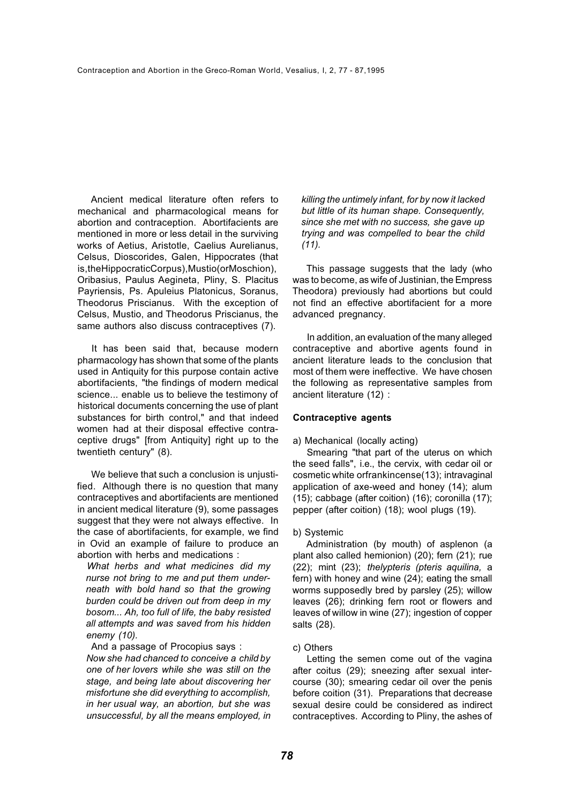Ancient medical literature often refers to mechanical and pharmacological means for abortion and contraception. Abortifacients are mentioned in more or less detail in the surviving works of Aetius, Aristotle, Caelius Aurelianus, Celsus, Dioscorides, Galen, Hippocrates (that is,theHippocraticCorpus),Mustio(orMoschion), Oribasius, Paulus Aegineta, Pliny, S. Placitus Payriensis, Ps. Apuleius Platonicus, Soranus, Theodorus Priscianus. With the exception of Celsus, Mustio, and Theodorus Priscianus, the same authors also discuss contraceptives (7).

It has been said that, because modern pharmacology has shown that some of the plants used in Antiquity for this purpose contain active abortifacients, "the findings of modern medical science... enable us to believe the testimony of historical documents concerning the use of plant substances for birth control," and that indeed women had at their disposal effective contraceptive drugs" [from Antiquity] right up to the twentieth century" (8).

We believe that such a conclusion is unjustified. Although there is no question that many contraceptives and abortifacients are mentioned in ancient medical literature (9), some passages suggest that they were not always effective. In the case of abortifacients, for example, we find in Ovid an example of failure to produce an abortion with herbs and medications :

*What herbs and what medicines did my nurse not bring to me and put them underneath with bold hand so that the growing burden could be driven out from deep in my bosom... Ah, too full of life, the baby resisted all attempts and was saved from his hidden enemy (10).* 

And a passage of Procopius says :

*Now she had chanced to conceive a child by one of her lovers while she was still on the stage, and being late about discovering her misfortune she did everything to accomplish, in her usual way, an abortion, but she was unsuccessful, by all the means employed, in* 

*killing the untimely infant, for by now it lacked but little of its human shape. Consequently, since she met with no success, she gave up trying and was compelled to bear the child (11).*

This passage suggests that the lady (who was to become, as wife of Justinian, the Empress Theodora) previously had abortions but could not find an effective abortifacient for a more advanced pregnancy.

In addition, an evaluation of the many alleged contraceptive and abortive agents found in ancient literature leads to the conclusion that most of them were ineffective. We have chosen the following as representative samples from ancient literature (12) :

#### **Contraceptive agents**

## a) Mechanical (locally acting)

Smearing "that part of the uterus on which the seed falls", i.e., the cervix, with cedar oil or cosmetic white orfrankincense(13); intravaginal application of axe-weed and honey (14); alum (15); cabbage (after coition) (16); coronilla (17); pepper (after coition) (18); wool plugs (19).

### b) Systemic

Administration (by mouth) of asplenon (a plant also called hemionion) (20); fern (21); rue (22); mint (23); *thelypteris (pteris aquilina,* a fern) with honey and wine (24); eating the small worms supposedly bred by parsley (25); willow leaves (26); drinking fern root or flowers and leaves of willow in wine (27); ingestion of copper salts (28).

## c) Others

Letting the semen come out of the vagina after coitus (29); sneezing after sexual intercourse (30); smearing cedar oil over the penis before coition (31). Preparations that decrease sexual desire could be considered as indirect contraceptives. According to Pliny, the ashes of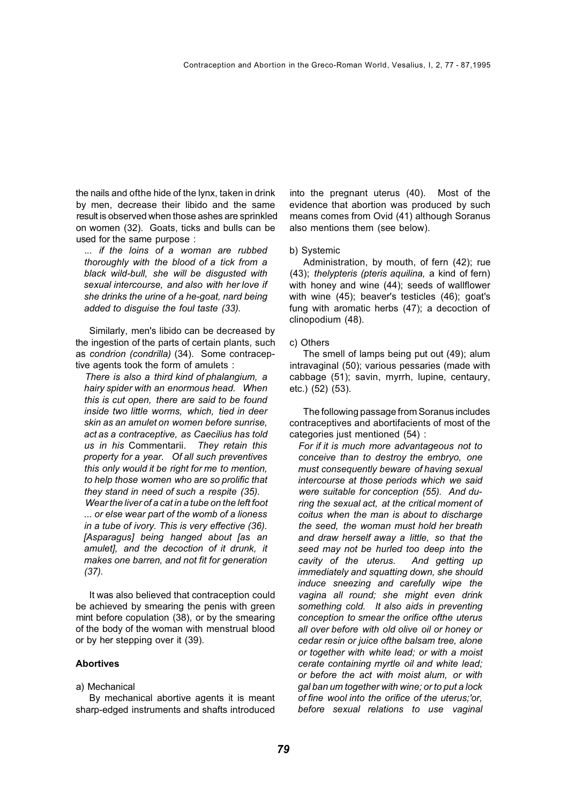the nails and ofthe hide of the lynx, taken in drink by men, decrease their libido and the same result is observed when those ashes are sprinkled on women (32). Goats, ticks and bulls can be used for the same purpose :

... *if the loins of a woman are rubbed thoroughly with the blood of a tick from a black wild-bull, she will be disgusted with sexual intercourse, and also with her love if she drinks the urine of a he-goat, nard being added to disguise the foul taste (33).* 

Similarly, men's libido can be decreased by the ingestion of the parts of certain plants, such as *condrion (condrilla)* (34). Some contraceptive agents took the form of amulets :

*There is also a third kind of phalangium, a hairy spider with an enormous head. When this is cut open, there are said to be found inside two little worms, which, tied in deer skin as an amulet on women before sunrise, act as a contraceptive, as Caecilius has told us in his* Commentarii. *They retain this property for a year. Of all such preventives this only would it be right for me to mention, to help those women who are so prolific that they stand in need of such a respite (35).* 

*Wear the liver of a cat in a tube on the left foot ... or else wear part of the womb of a lioness in a tube of ivory. This is very effective (36). [Asparagus] being hanged about [as an amulet], and the decoction of it drunk, it makes one barren, and not fit for generation (37).*

It was also believed that contraception could be achieved by smearing the penis with green mint before copulation (38), or by the smearing of the body of the woman with menstrual blood or by her stepping over it (39).

# **Abortives**

## a) Mechanical

By mechanical abortive agents it is meant sharp-edged instruments and shafts introduced

into the pregnant uterus (40). Most of the evidence that abortion was produced by such means comes from Ovid (41) although Soranus also mentions them (see below).

## b) Systemic

Administration, by mouth, of fern (42); rue (43); *thelypteris (pteris aquilina,* a kind of fern) with honey and wine (44); seeds of wallflower with wine (45); beaver's testicles (46); goat's fung with aromatic herbs (47); a decoction of clinopodium (48).

#### c) Others

The smell of lamps being put out (49); alum intravaginal (50); various pessaries (made with cabbage (51); savin, myrrh, lupine, centaury, etc.) (52) (53).

The following passage from Soranus includes contraceptives and abortifacients of most of the categories just mentioned (54) :

*For if it is much more advantageous not to conceive than to destroy the embryo, one must consequently beware of having sexual intercourse at those periods which we said were suitable for conception (55). And during the sexual act, at the critical moment of coitus when the man is about to discharge the seed, the woman must hold her breath and draw herself away a little, so that the seed may not be hurled too deep into the cavity of the uterus. And getting up immediately and squatting down, she should induce sneezing and carefully wipe the vagina all round; she might even drink something cold. It also aids in preventing conception to smear the orifice ofthe uterus all over before with old olive oil or honey or cedar resin or juice ofthe balsam tree, alone or together with white lead; or with a moist cerate containing myrtle oil and white lead; or before the act with moist alum, or with gal ban um together with wine; or to put a lock of fine wool into the orifice of the uterus;'or, before sexual relations to use vaginal*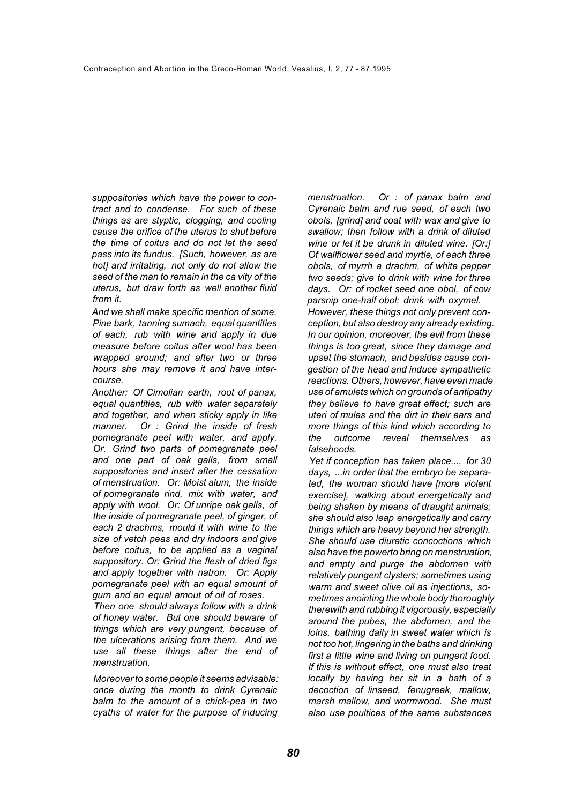*suppositories which have the power to contract and to condense. For such of these things as are styptic, clogging, and cooling cause the orifice of the uterus to shut before the time of coitus and do not let the seed pass into its fundus. [Such, however, as are hot] and irritating, not only do not allow the seed of the man to remain in the ca vity of the uterus, but draw forth as well another fluid from it.* 

*And we shall make specific mention of some. Pine bark, tanning sumach, equal quantities of each, rub with wine and apply in due measure before coitus after wool has been wrapped around; and after two or three hours she may remove it and have intercourse.*

*Another: Of Cimolian earth, root of panax, equal quantities, rub with water separately and together, and when sticky apply in like manner. Or : Grind the inside of fresh pomegranate peel with water, and apply. Or. Grind two parts of pomegranate peel and one part of oak galls, from small suppositories and insert after the cessation of menstruation. Or: Moist alum, the inside of pomegranate rind, mix with water, and apply with wool. Or: Of unripe oak galls, of the inside of pomegranate peel, of ginger, of each 2 drachms, mould it with wine to the size of vetch peas and dry indoors and give before coitus, to be applied as a vaginal suppository. Or: Grind the flesh of dried figs and apply together with natron. Or: Apply pomegranate peel with an equal amount of gum and an equal amout of oil of roses.* 

*Then one should always follow with a drink of honey water. But one should beware of things which are very pungent, because of the ulcerations arising from them. And we use all these things after the end of menstruation.*

*Moreover to some people it seems advisable: once during the month to drink Cyrenaic balm to the amount of a chick-pea in two cyaths of water for the purpose of inducing*  *menstruation. Or : of panax balm and Cyrenaic balm and rue seed, of each two obols, [grind] and coat with wax and give to swallow; then follow with a drink of diluted wine or let it be drunk in diluted wine. [Or:] Of wallflower seed and myrtle, of each three obols, of myrrh a drachm, of white pepper two seeds; give to drink with wine for three days. Or: of rocket seed one obol, of cow parsnip one-half obol; drink with oxymel. However, these things not only prevent conception, but also destroy any already existing. In our opinion, moreover, the evil from these things is too great, since they damage and upset the stomach, and besides cause congestion of the head and induce sympathetic reactions. Others, however, have even made use of amulets which on grounds of antipathy they believe to have great effect; such are uteri of mules and the dirt in their ears and more things of this kind which according to the outcome reveal themselves as falsehoods.*

*Yet if conception has taken place..., for 30 days, ...in order that the embryo be separated, the woman should have [more violent exercise], walking about energetically and being shaken by means of draught animals; she should also leap energetically and carry things which are heavy beyond her strength. She should use diuretic concoctions which also have the powerto bring on menstruation, and empty and purge the abdomen with relatively pungent clysters; sometimes using warm and sweet olive oil as injections, sometimes anointing the whole body thoroughly therewith and rubbing it vigorously, especially around the pubes, the abdomen, and the loins, bathing daily in sweet water which is not too hot, lingering in the baths and drinking first a little wine and living on pungent food. If this is without effect, one must also treat locally by having her sit in a bath of a decoction of linseed, fenugreek, mallow, marsh mallow, and wormwood. She must also use poultices of the same substances*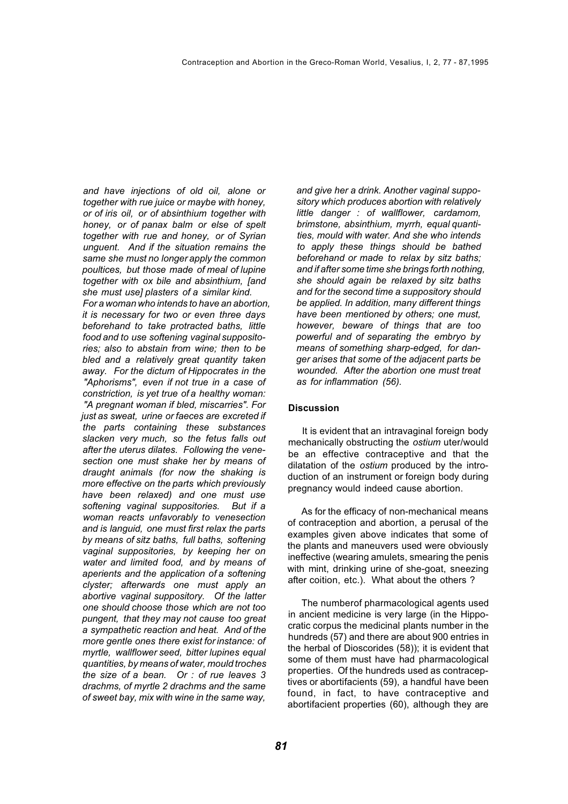*and have injections of old oil, alone or together with rue juice or maybe with honey, or of iris oil, or of absinthium together with honey, or of panax balm or else of spelt together with rue and honey, or of Syrian unguent. And if the situation remains the same she must no longer apply the common poultices, but those made of meal of lupine together with ox bile and absinthium, [and she must use] plasters of a similar kind. For a woman who intends to have an abortion, it is necessary for two or even three days beforehand to take protracted baths, little food and to use softening vaginal suppositories; also to abstain from wine; then to be bled and a relatively great quantity taken away. For the dictum of Hippocrates in the "Aphorisms", even if not true in a case of constriction, is yet true of a healthy woman: "A pregnant woman if bled, miscarries". For just as sweat, urine or faeces are excreted if the parts containing these substances slacken very much, so the fetus falls out after the uterus dilates. Following the venesection one must shake her by means of draught animals (for now the shaking is more effective on the parts which previously have been relaxed) and one must use softening vaginal suppositories. But if a woman reacts unfavorably to venesection and is languid, one must first relax the parts by means of sitz baths, full baths, softening vaginal suppositories, by keeping her on water and limited food, and by means of aperients and the application of a softening clyster; afterwards one must apply an abortive vaginal suppository. Of the latter one should choose those which are not too pungent, that they may not cause too great a sympathetic reaction and heat. And of the more gentle ones there exist for instance: of myrtle, wallflower seed, bitter lupines equal quantities, by means of water, mould troches the size of a bean. Or : of rue leaves 3 drachms, of myrtle 2 drachms and the same of sweet bay, mix with wine in the same way,* 

*and give her a drink. Another vaginal suppository which produces abortion with relatively little danger : of wallflower, cardamom, brimstone, absinthium, myrrh, equal quantities, mould with water. And she who intends to apply these things should be bathed beforehand or made to relax by sitz baths; and if after some time she brings forth nothing, she should again be relaxed by sitz baths and for the second time a suppository should be applied. In addition, many different things have been mentioned by others; one must, however, beware of things that are too powerful and of separating the embryo by means of something sharp-edged, for danger arises that some of the adjacent parts be wounded. After the abortion one must treat as for inflammation (56).* 

## **Discussion**

It is evident that an intravaginal foreign body mechanically obstructing the *ostium* uter/would be an effective contraceptive and that the dilatation of the *ostium* produced by the introduction of an instrument or foreign body during pregnancy would indeed cause abortion.

As for the efficacy of non-mechanical means of contraception and abortion, a perusal of the examples given above indicates that some of the plants and maneuvers used were obviously ineffective (wearing amulets, smearing the penis with mint, drinking urine of she-goat, sneezing after coition, etc.). What about the others ?

The numberof pharmacological agents used in ancient medicine is very large (in the Hippocratic corpus the medicinal plants number in the hundreds (57) and there are about 900 entries in the herbal of Dioscorides (58)); it is evident that some of them must have had pharmacological properties. Of the hundreds used as contraceptives or abortifacients (59), a handful have been found, in fact, to have contraceptive and abortifacient properties (60), although they are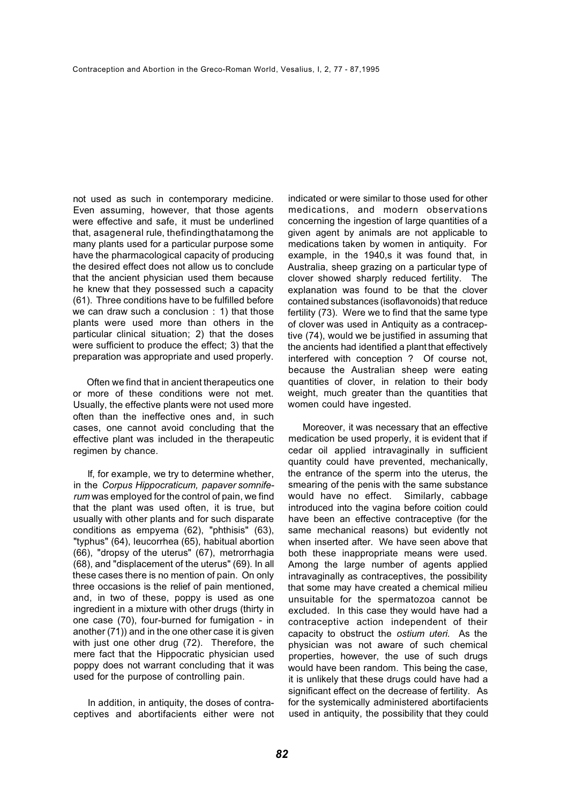not used as such in contemporary medicine. Even assuming, however, that those agents were effective and safe, it must be underlined that, asageneral rule, thefindingthatamong the many plants used for a particular purpose some have the pharmacological capacity of producing the desired effect does not allow us to conclude that the ancient physician used them because he knew that they possessed such a capacity (61). Three conditions have to be fulfilled before we can draw such a conclusion : 1) that those plants were used more than others in the particular clinical situation; 2) that the doses were sufficient to produce the effect; 3) that the preparation was appropriate and used properly.

Often we find that in ancient therapeutics one or more of these conditions were not met. Usually, the effective plants were not used more often than the ineffective ones and, in such cases, one cannot avoid concluding that the effective plant was included in the therapeutic regimen by chance.

If, for example, we try to determine whether, in the *Corpus Hippocraticum, papaver somniferum* was employed for the control of pain, we find that the plant was used often, it is true, but usually with other plants and for such disparate conditions as empyema (62), "phthisis" (63), "typhus" (64), leucorrhea (65), habitual abortion (66), "dropsy of the uterus" (67), metrorrhagia (68), and "displacement of the uterus" (69). In all these cases there is no mention of pain. On only three occasions is the relief of pain mentioned, and, in two of these, poppy is used as one ingredient in a mixture with other drugs (thirty in one case (70), four-burned for fumigation - in another (71)) and in the one other case it is given with just one other drug (72). Therefore, the mere fact that the Hippocratic physician used poppy does not warrant concluding that it was used for the purpose of controlling pain.

In addition, in antiquity, the doses of contraceptives and abortifacients either were not indicated or were similar to those used for other medications, and modern observations concerning the ingestion of large quantities of a given agent by animals are not applicable to medications taken by women in antiquity. For example, in the 1940,s it was found that, in Australia, sheep grazing on a particular type of clover showed sharply reduced fertility. The explanation was found to be that the clover contained substances (isoflavonoids) that reduce fertility (73). Were we to find that the same type of clover was used in Antiquity as a contraceptive (74), would we be justified in assuming that the ancients had identified a plant that effectively interfered with conception ? Of course not, because the Australian sheep were eating quantities of clover, in relation to their body weight, much greater than the quantities that women could have ingested.

Moreover, it was necessary that an effective medication be used properly, it is evident that if cedar oil applied intravaginally in sufficient quantity could have prevented, mechanically, the entrance of the sperm into the uterus, the smearing of the penis with the same substance would have no effect. Similarly, cabbage introduced into the vagina before coition could have been an effective contraceptive (for the same mechanical reasons) but evidently not when inserted after. We have seen above that both these inappropriate means were used. Among the large number of agents applied intravaginally as contraceptives, the possibility that some may have created a chemical milieu unsuitable for the spermatozoa cannot be excluded. In this case they would have had a contraceptive action independent of their capacity to obstruct the *ostium uteri.* As the physician was not aware of such chemical properties, however, the use of such drugs would have been random. This being the case, it is unlikely that these drugs could have had a significant effect on the decrease of fertility. As for the systemically administered abortifacients used in antiquity, the possibility that they could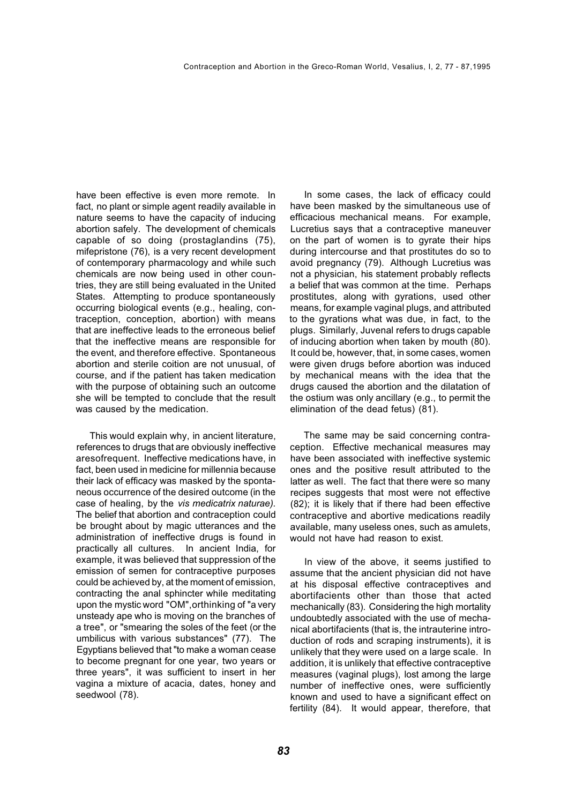have been effective is even more remote. In fact, no plant or simple agent readily available in nature seems to have the capacity of inducing abortion safely. The development of chemicals capable of so doing (prostaglandins (75), mifepristone (76), is a very recent development of contemporary pharmacology and while such chemicals are now being used in other countries, they are still being evaluated in the United States. Attempting to produce spontaneously occurring biological events (e.g., healing, contraception, conception, abortion) with means that are ineffective leads to the erroneous belief that the ineffective means are responsible for the event, and therefore effective. Spontaneous abortion and sterile coition are not unusual, of course, and if the patient has taken medication with the purpose of obtaining such an outcome she will be tempted to conclude that the result was caused by the medication.

This would explain why, in ancient literature, references to drugs that are obviously ineffective aresofrequent. Ineffective medications have, in fact, been used in medicine for millennia because their lack of efficacy was masked by the spontaneous occurrence of the desired outcome (in the case of healing, by the *vis medicatrix naturae).*  The belief that abortion and contraception could be brought about by magic utterances and the administration of ineffective drugs is found in practically all cultures. In ancient India, for example, it was believed that suppression of the emission of semen for contraceptive purposes could be achieved by, at the moment of emission, contracting the anal sphincter while meditating upon the mystic word "OM",orthinking of "a very unsteady ape who is moving on the branches of a tree", or "smearing the soles of the feet (or the umbilicus with various substances" (77). The Egyptians believed that "to make a woman cease to become pregnant for one year, two years or three years", it was sufficient to insert in her vagina a mixture of acacia, dates, honey and seedwool (78).

In some cases, the lack of efficacy could have been masked by the simultaneous use of efficacious mechanical means. For example, Lucretius says that a contraceptive maneuver on the part of women is to gyrate their hips during intercourse and that prostitutes do so to avoid pregnancy (79). Although Lucretius was not a physician, his statement probably reflects a belief that was common at the time. Perhaps prostitutes, along with gyrations, used other means, for example vaginal plugs, and attributed to the gyrations what was due, in fact, to the plugs. Similarly, Juvenal refers to drugs capable of inducing abortion when taken by mouth (80). It could be, however, that, in some cases, women were given drugs before abortion was induced by mechanical means with the idea that the drugs caused the abortion and the dilatation of the ostium was only ancillary (e.g., to permit the elimination of the dead fetus) (81).

The same may be said concerning contraception. Effective mechanical measures may have been associated with ineffective systemic ones and the positive result attributed to the latter as well. The fact that there were so many recipes suggests that most were not effective (82); it is likely that if there had been effective contraceptive and abortive medications readily available, many useless ones, such as amulets, would not have had reason to exist.

In view of the above, it seems justified to assume that the ancient physician did not have at his disposal effective contraceptives and abortifacients other than those that acted mechanically (83). Considering the high mortality undoubtedly associated with the use of mechanical abortifacients (that is, the intrauterine introduction of rods and scraping instruments), it is unlikely that they were used on a large scale. In addition, it is unlikely that effective contraceptive measures (vaginal plugs), lost among the large number of ineffective ones, were sufficiently known and used to have a significant effect on fertility (84). It would appear, therefore, that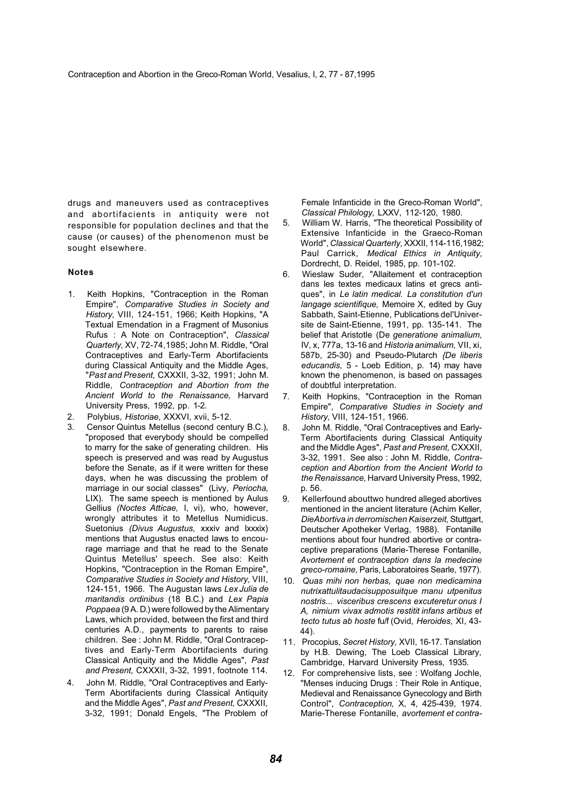drugs and maneuvers used as contraceptives and abortifacients in antiquity were not responsible for population declines and that the cause (or causes) of the phenomenon must be sought elsewhere.

# **Notes**

- 1. Keith Hopkins, "Contraception in the Roman Empire", *Comparative Studies in Society and History,* VIII, 124-151, 1966; Keith Hopkins, "A Textual Emendation in a Fragment of Musonius Rufus : A Note on Contraception", *Classical Quarterly,* XV, 72-74,1985; John M. Riddle, "Oral Contraceptives and Early-Term Abortifacients during Classical Antiquity and the Middle Ages. "*Past and Present,* CXXXII, 3-32, 1991; John M. Riddle, *Contraception and Abortion from the Ancient World to the Renaissance,* Harvard University Press, 1992, pp. 1-2.
- 2. Polybius, *Historiae,* XXXVI, xvii, 5-12.
- 3. Censor Quintus Metellus (second century B.C.), "proposed that everybody should be compelled to marry for the sake of generating children. His speech is preserved and was read by Augustus before the Senate, as if it were written for these days, when he was discussing the problem of marriage in our social classes" (Livy, *Periocha,*  LIX). The same speech is mentioned by Aulus Gellius *(Noctes Atticae,* I, vi), who, however, wrongly attributes it to Metellus Numidicus. Suetonius *(Divus Augustus,* xxxiv and Ixxxix) mentions that Augustus enacted laws to encourage marriage and that he read to the Senate Quintus Metellus' speech. See also: Keith Hopkins, "Contraception in the Roman Empire", *Comparative Studies in Society and History,* VIII, 124-151, 1966. The Augustan laws *Lex Julia de maritandis ordinibus* (18 B.C.) and *Lex Papia Poppaea* (9 A. D.) were followed by the Alimentary Laws, which provided, between the first and third centuries A.D., payments to parents to raise children. See : John M. Riddle, "Oral Contraceptives and Early-Term Abortifacients during Classical Antiquity and the Middle Ages", *Past and Present,* CXXXII, 3-32, 1991, footnote 114.
- 4. John M. Riddle, "Oral Contraceptives and Early-Term Abortifacients during Classical Antiquity and the Middle Ages", *Past and Present,* CXXXII, 3-32, 1991; Donald Engels, "The Problem of

Female Infanticide in the Greco-Roman World", *Classical Philology,* LXXV, 112-120, 1980.

- 5. William W. Harris, "The theoretical Possibility of Extensive Infanticide in the Graeco-Roman World", *Classical Quarterly,* XXXII, 114-116,1982; Paul Carrick, *Medical Ethics in Antiquity,*  Dordrecht, D. Reidel, 1985, pp. 101-102.
- 6. Wieslaw Suder, "Allaitement et contraception dans les textes medicaux latins et grecs antiques", in *Le latin medical. La constitution d'un langage scientifique,* Memoire X, edited by Guy Sabbath, Saint-Etienne, Publications del'Universite de Saint-Etienne, 1991, pp. 135-141. The belief that Aristotle (De *generatione animalium,*  IV, x, 777a, 13-16 and *Historia animalium,* VII, xi, 587b, 25-30) and Pseudo-Plutarch *{De liberis educandis,* 5 - Loeb Edition, p. 14) may have known the phenomenon, is based on passages of doubtful interpretation.
- 7. Keith Hopkins, "Contraception in the Roman Empire", *Comparative Studies in Society and History,* VIII, 124-151, 1966.
- 8. John M. Riddle, "Oral Contraceptives and Early-Term Abortifacients during Classical Antiquity and the Middle Ages", *Past and Present,* CXXXII, 3-32, 1991. See also : John M. Riddle, *Contraception and Abortion from the Ancient World to the Renaissance,* Harvard University Press, 1992, p. 56.
- 9. Kellerfound abouttwo hundred alleged abortives mentioned in the ancient literature (Achim Keller, *DieAbortiva in derromischen Kaiserzeit,* Stuttgart, Deutscher Apotheker Verlag, 1988). Fontanille mentions about four hundred abortive or contraceptive preparations (Marie-Therese Fontanille, *Avortement et contraception dans la medecine greco-romaine,* Paris, Laboratoires Searle, 1977).
- 10. *Quas mihi non herbas, quae non medicamina nutrixattulitaudacisupposuitque manu utpenitus nostris... visceribus crescens excuteretur onus I A, nimium vivax admotis restitit infans artibus et tecto tutus ab hoste* fu/f (Ovid, *Heroides,* XI, 43- 44).
- 11. Procopius, *Secret History,* XVII, 16-17. Tanslation by H.B. Dewing, The Loeb Classical Library, Cambridge, Harvard University Press, 1935.
- 12. For comprehensive lists, see : Wolfang Jochle, "Menses inducing Drugs : Their Role in Antique, Medieval and Renaissance Gynecology and Birth Control", *Contraception,* X, 4, 425-439, 1974. Marie-Therese Fontanille, *avortement et contra-*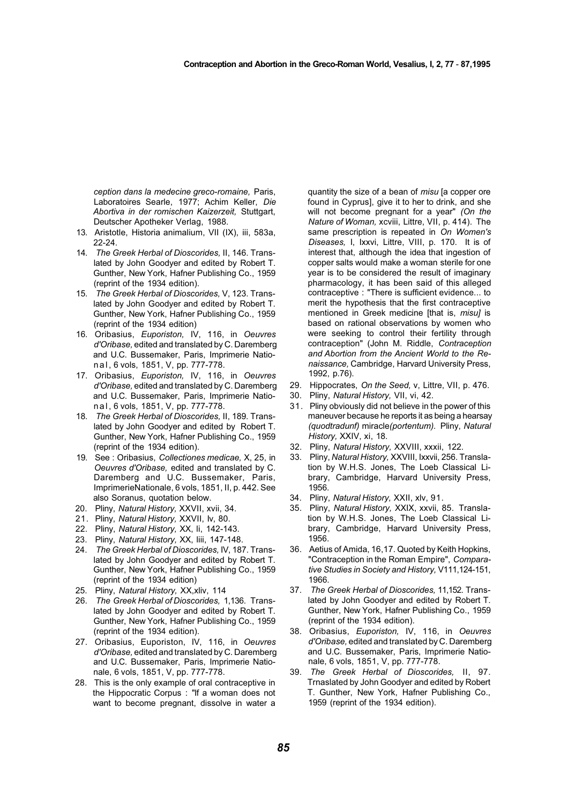*ception dans la medecine greco-romaine,* Paris, Laboratoires Searle, 1977; Achim Keller, *Die Abortiva in der romischen Kaizerzeit,* Stuttgart, Deutscher Apotheker Verlag, 1988.

- 13. Aristotle, Historia animalium, VII (IX), iii, 583a, 22-24.
- 14. *The Greek Herbal of Dioscorides,* II, 146. Translated by John Goodyer and edited by Robert T. Gunther, New York, Hafner Publishing Co., 1959 (reprint of the 1934 edition).
- 15. *The Greek Herbal of Dioscorides,* V, 123. Translated by John Goodyer and edited by Robert T. Gunther, New York, Hafner Publishing Co., 1959 (reprint of the 1934 edition)
- 16. Oribasius, *Euporiston,* IV, 116, in *Oeuvres d'Oribase,* edited and translated by C. Daremberg and U.C. Bussemaker, Paris, Imprimerie Nation a l, 6 vols, 1851, V, pp. 777-778.
- 17. Oribasius, *Euporiston,* IV, 116, in *Oeuvres d'Oribase,* edited and translated by C. Daremberg and U.C. Bussemaker, Paris, Imprimerie Nation a l, 6 vols, 1851, V, pp. 777-778.
- 18. *The Greek Herbal of Dioscorides,* II, 189. Translated by John Goodyer and edited by Robert T. Gunther, New York, Hafner Publishing Co., 1959 (reprint of the 1934 edition).
- 19. See : Oribasius, *Collectiones medicae,* X, 25, in *Oeuvres d'Oribase,* edited and translated by C. Daremberg and U.C. Bussemaker, Paris, ImprimerieNationale, 6 vols, 1851, II, p. 442. See also Soranus, quotation below.
- 20. Pliny, *Natural History,* XXVII, xvii, 34.
- 21. Pliny, *Natural History,* XXVII, Iv, 80.
- 22. Pliny, *Natural History,* XX, li, 142-143.
- 23. Pliny, *Natural History,* XX, liii, 147-148.
- 24. *The Greek Herbal of Dioscorides,* IV, 187. Translated by John Goodyer and edited by Robert T. Gunther, New York, Hafner Publishing Co., 1959 (reprint of the 1934 edition)
- 25. Pliny, *Natural History,* XX,xliv, 114
- 26. *The Greek Herbal of Dioscorides,* 1,136. Translated by John Goodyer and edited by Robert T. Gunther, New York, Hafner Publishing Co., 1959 (reprint of the 1934 edition).
- 27. Oribasius, Euporiston, IV, 116, in *Oeuvres d'Oribase,* edited and translated by C. Daremberg and U.C. Bussemaker, Paris, Imprimerie Nationale, 6 vols, 1851, V, pp. 777-778.
- 28. This is the only example of oral contraceptive in the Hippocratic Corpus : "If a woman does not want to become pregnant, dissolve in water a

quantity the size of a bean of *misu* [a copper ore found in Cyprus], give it to her to drink, and she will not become pregnant for a year" *(On the Nature of Woman,* xcviii, Littre, VII, p. 414). The same prescription is repeated in *On Women's Diseases,* I, Ixxvi, Littre, VIII, p. 170. It is of interest that, although the idea that ingestion of copper salts would make a woman sterile for one year is to be considered the result of imaginary pharmacology, it has been said of this alleged contraceptive : "There is sufficient evidence... to merit the hypothesis that the first contraceptive mentioned in Greek medicine [that is, *misu]* is based on rational observations by women who were seeking to control their fertility through contraception" (John M. Riddle, *Contraception and Abortion from the Ancient World to the Renaissance,* Cambridge, Harvard University Press, 1992, p.76).

- 29. Hippocrates, *On the Seed,* v, Littre, VII, p. 476.
- 30. Pliny, *Natural History,* VII, vi, 42.
- 31. Pliny obviously did not believe in the power of this maneuver because he reports it as being a hearsay *(quodtradunf)* miracle*(portentum).* Pliny, *Natural History,* XXIV, xi, 18.
- 32. Pliny, *Natural History,* XXVIII, xxxii, 122.
- 33. Pliny, *Natural History,* XXVIII, Ixxvii, 256. Translation by W.H.S. Jones, The Loeb Classical Library, Cambridge, Harvard University Press, 1956.
- 34. Pliny, *Natural History,* XXII, xlv, 91.
- 35. Pliny, *Natural History,* XXIX, xxvii, 85. Translation by W.H.S. Jones, The Loeb Classical Library, Cambridge, Harvard University Press, 1956.
- 36. Aetius of Amida, 16,17. Quoted by Keith Hopkins, "Contraception in the Roman Empire", *Comparative Studies in Society and History,* V111,124-151, 1966.
- 37. *The Greek Herbal of Dioscorides,* 11,152. Translated by John Goodyer and edited by Robert T. Gunther, New York, Hafner Publishing Co., 1959 (reprint of the 1934 edition).
- 38. Oribasius, *Euporiston,* IV, 116, in *Oeuvres d'Oribase,* edited and translated by C. Daremberg and U.C. Bussemaker, Paris, Imprimerie Nationale, 6 vols, 1851, V, pp. 777-778.
- 39. *The Greek Herbal of Dioscorides,* II, 97. Trnaslated by John Goodyer and edited by Robert T. Gunther, New York, Hafner Publishing Co., 1959 (reprint of the 1934 edition).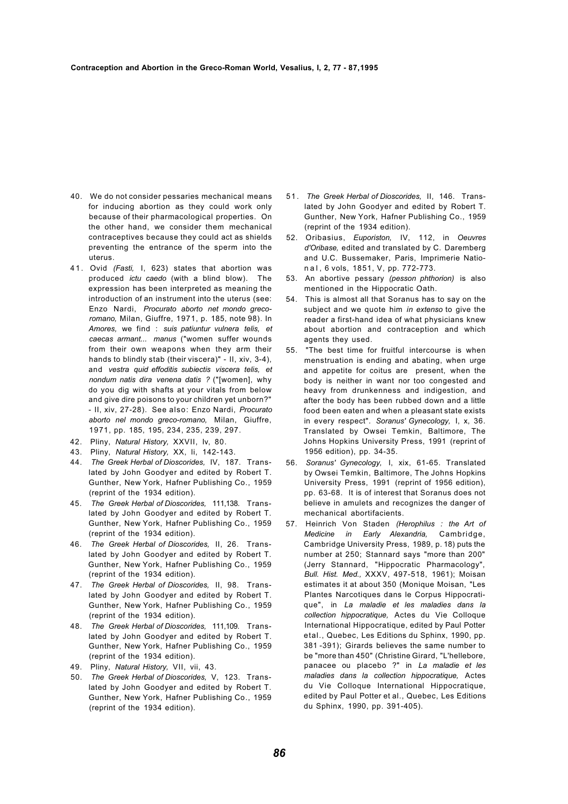- 40. We do not consider pessaries mechanical means for inducing abortion as they could work only because of their pharmacological properties. On the other hand, we consider them mechanical contraceptives because they could act as shields preventing the entrance of the sperm into the uterus.
- 4 1 . Ovid *(Fasti,* I, 623) states that abortion was produced *ictu caedo* (with a blind blow). The expression has been interpreted as meaning the introduction of an instrument into the uterus (see: Enzo Nardi, *Procurato aborto net mondo grecoromano,* Milan, Giuffre, 1971, p. 185, note 98). In *Amores,* we find : *suis patiuntur vulnera telis, et caecas armant... manus* ("women suffer wounds from their own weapons when they arm their hands to blindly stab (their viscera)" - II, xiv, 3-4), and *vestra quid effoditis subiectis viscera telis, et nondum natis dira venena datis ?* ("[women], why do you dig with shafts at your vitals from below and give dire poisons to your children yet unborn?" - II, xiv, 27-28). See also: Enzo Nardi, *Procurato aborto nel mondo greco-romano,* Milan, Giuffre, 1971, pp. 185, 195, 234, 235, 239, 297.
- 42. Pliny, *Natural History,* XXVII, Iv, 80.
- 43. Pliny, *Natural History,* XX, li, 142-143.
- 44. *The Greek Herbal of Dioscorides,* IV, 187. Translated by John Goodyer and edited by Robert T. Gunther, New York, Hafner Publishing Co., 1959 (reprint of the 1934 edition).
- 45. *The Greek Herbal of Dioscorides,* 111,138. Translated by John Goodyer and edited by Robert T. Gunther, New York, Hafner Publishing Co., 1959 (reprint of the 1934 edition).
- 46. *The Greek Herbal of Dioscorides,* II, 26. Translated by John Goodyer and edited by Robert T. Gunther, New York, Hafner Publishing Co., 1959 (reprint of the 1934 edition).
- 47. *The Greek Herbal of Dioscorides,* II, 98. Translated by John Goodyer and edited by Robert T. Gunther, New York, Hafner Publishing Co., 1959 (reprint of the 1934 edition).
- 48. *The Greek Herbal of Dioscorides,* 111,109. Translated by John Goodyer and edited by Robert T. Gunther, New York, Hafner Publishing Co., 1959 (reprint of the 1934 edition).
- 49. Pliny, *Natural History,* VII, vii, 43.
- 50. *The Greek Herbal of Dioscorides,* V, 123. Translated by John Goodyer and edited by Robert T. Gunther, New York, Hafner Publishing Co., 1959 (reprint of the 1934 edition).
- 5 1 . *The Greek Herbal of Dioscorides,* II, 146. Translated by John Goodyer and edited by Robert T. Gunther, New York, Hafner Publishing Co., 1959 (reprint of the 1934 edition).
- 52. Oribasius, *Euporiston,* IV, 112, in *Oeuvres d'Oribase,* edited and translated by C. Daremberg and U.C. Bussemaker, Paris, Imprimerie Nation a l, 6 vols, 1851, V, pp. 772-773.
- 53. An abortive pessary *(pesson phthorion)* is also mentioned in the Hippocratic Oath.
- 54. This is almost all that Soranus has to say on the subject and we quote him *in extenso* to give the reader a first-hand idea of what physicians knew about abortion and contraception and which agents they used.
- 55. "The best time for fruitful intercourse is when menstruation is ending and abating, when urge and appetite for coitus are present, when the body is neither in want nor too congested and heavy from drunkenness and indigestion, and after the body has been rubbed down and a little food been eaten and when a pleasant state exists in every respect". *Soranus' Gynecology,* I, x, 36. Translated by Owsei Temkin, Baltimore, The Johns Hopkins University Press, 1991 (reprint of 1956 edition), pp. 34-35.
- 56. *Soranus' Gynecology,* I, xix, 61-65. Translated by Owsei Temkin, Baltimore, The Johns Hopkins University Press, 1991 (reprint of 1956 edition), pp. 63-68. It is of interest that Soranus does not believe in amulets and recognizes the danger of mechanical abortifacients.
- 57. Heinrich Von Staden *(Herophilus : the Art of Medicine in Early Alexandria,* Cambridge, Cambridge University Press, 1989, p. 18) puts the number at 250; Stannard says "more than 200" (Jerry Stannard, "Hippocratic Pharmacology", *Bull. Hist. Med.,* XXXV, 497-518, 1961); Moisan estimates it at about 350 (Monique Moisan, "Les Plantes Narcotiques dans le Corpus Hippocratique", in *La maladie et les maladies dans la collection hippocratique,* Actes du Vie Colloque International Hippocratique, edited by Paul Potter etal., Quebec, Les Editions du Sphinx, 1990, pp. 381 -391); Girards believes the same number to be "more than 450" (Christine Girard, "L'hellebore, panacee ou placebo ?" in *La maladie et les maladies dans la collection hippocratique,* Actes du Vie Colloque International Hippocratique, edited by Paul Potter et al., Quebec, Les Editions du Sphinx, 1990, pp. 391-405).